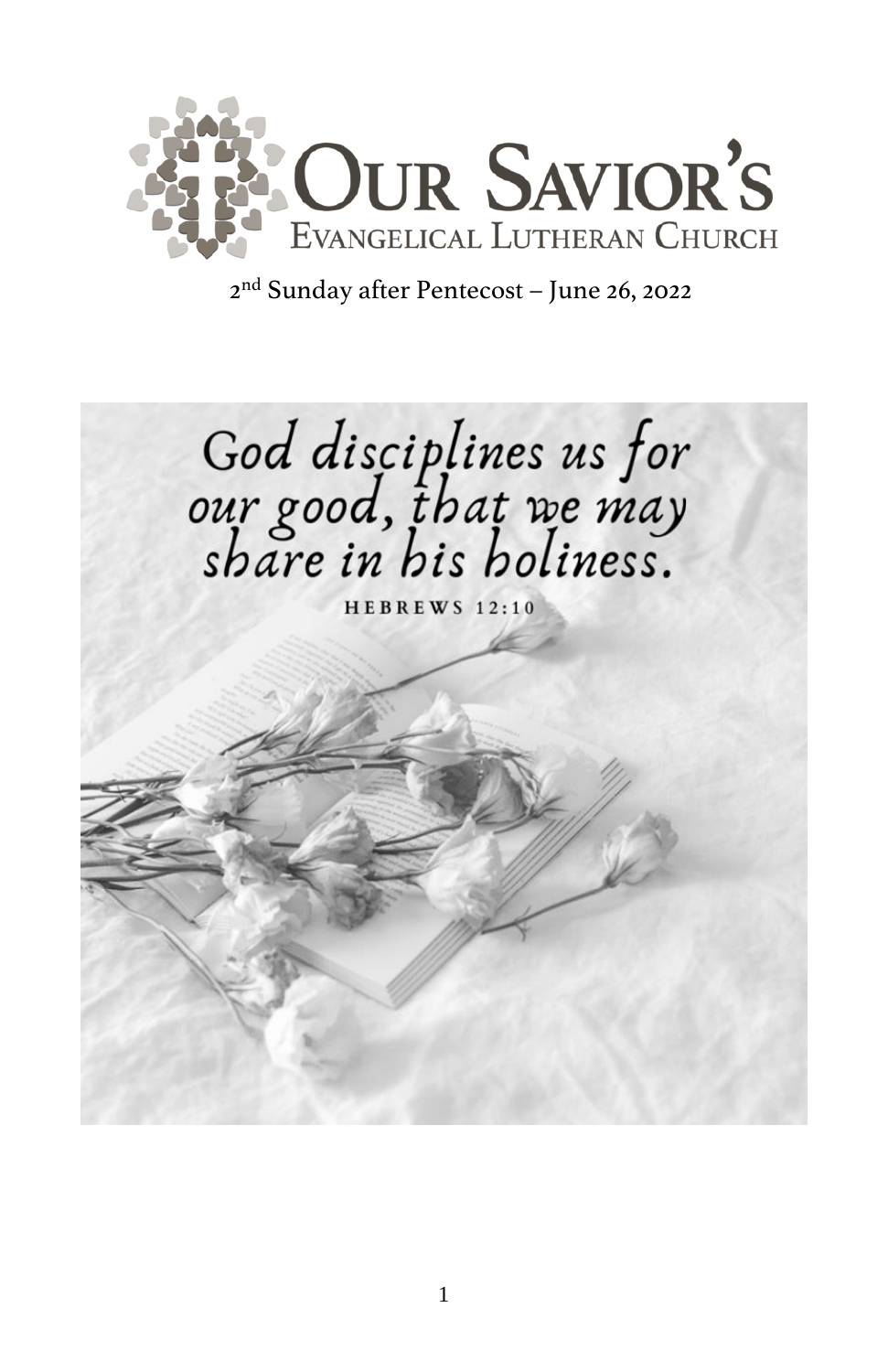

nd Sunday after Pentecost – June 26, 2022

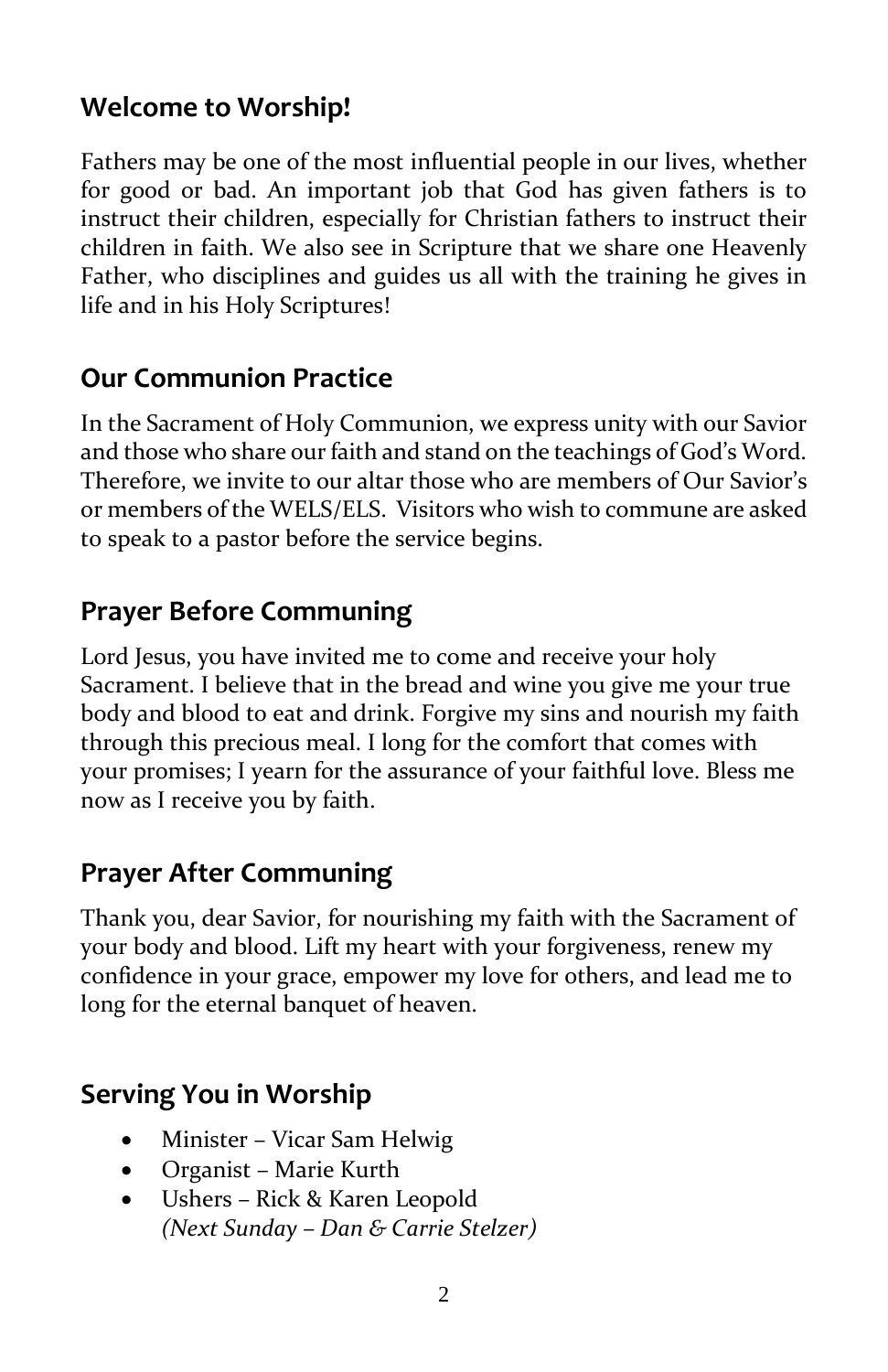#### **Welcome to Worship!**

Fathers may be one of the most influential people in our lives, whether for good or bad. An important job that God has given fathers is to instruct their children, especially for Christian fathers to instruct their children in faith. We also see in Scripture that we share one Heavenly Father, who disciplines and guides us all with the training he gives in life and in his Holy Scriptures!

#### **Our Communion Practice**

In the Sacrament of Holy Communion, we express unity with our Savior and those who share our faith and stand on the teachings of God's Word. Therefore, we invite to our altar those who are members of Our Savior's or members of the WELS/ELS. Visitors who wish to commune are asked to speak to a pastor before the service begins.

#### **Prayer Before Communing**

Lord Jesus, you have invited me to come and receive your holy Sacrament. I believe that in the bread and wine you give me your true body and blood to eat and drink. Forgive my sins and nourish my faith through this precious meal. I long for the comfort that comes with your promises; I yearn for the assurance of your faithful love. Bless me now as I receive you by faith.

#### **Prayer After Communing**

Thank you, dear Savior, for nourishing my faith with the Sacrament of your body and blood. Lift my heart with your forgiveness, renew my confidence in your grace, empower my love for others, and lead me to long for the eternal banquet of heaven.

#### **Serving You in Worship**

- Minister Vicar Sam Helwig
- Organist Marie Kurth
- Ushers Rick & Karen Leopold *(Next Sunday – Dan & Carrie Stelzer)*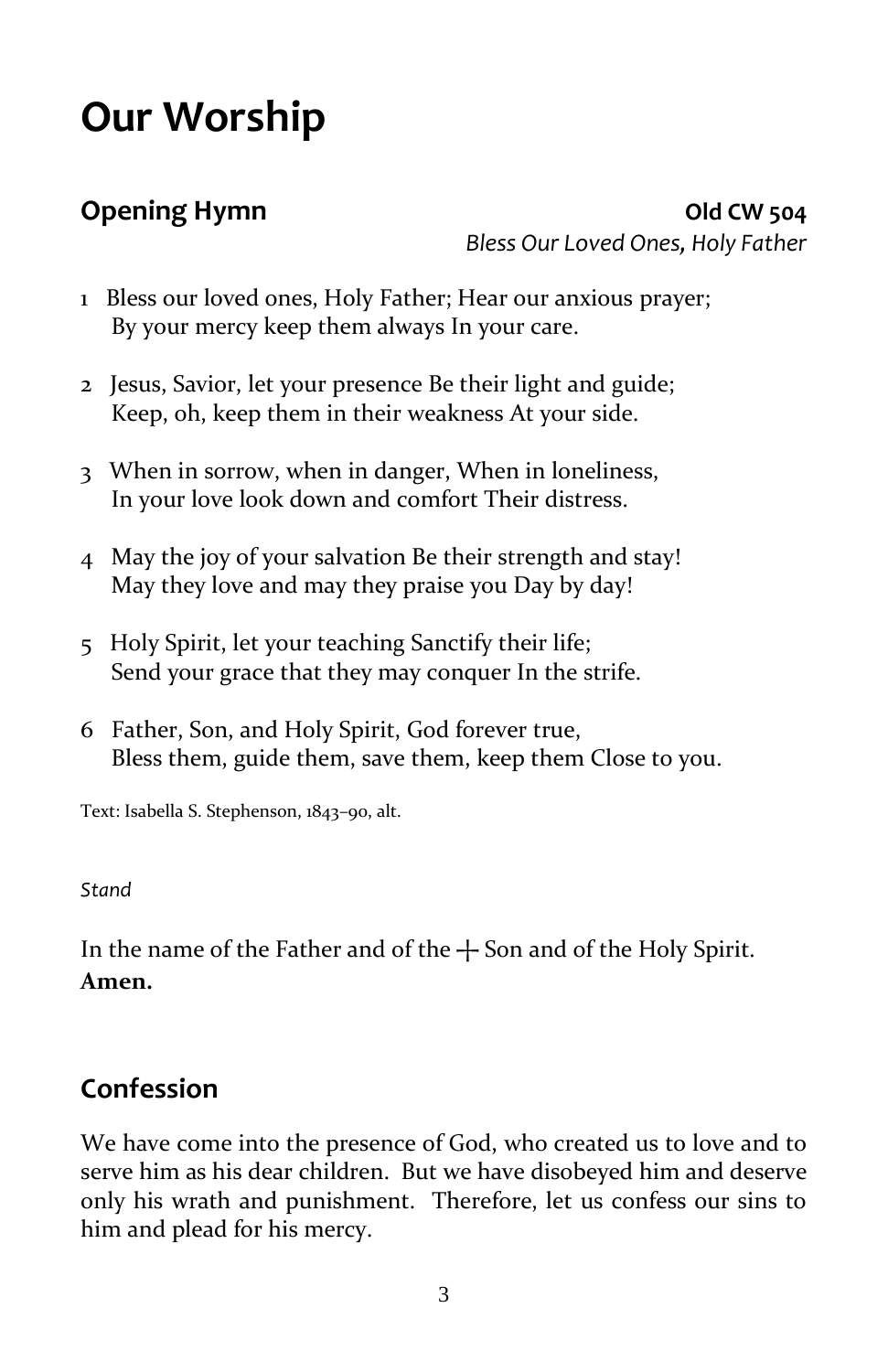# **Our Worship**

**Opening Hymn Old CW 504** *Bless Our Loved Ones, Holy Father*

- 1 Bless our loved ones, Holy Father; Hear our anxious prayer; By your mercy keep them always In your care.
- 2 Jesus, Savior, let your presence Be their light and guide; Keep, oh, keep them in their weakness At your side.
- 3 When in sorrow, when in danger, When in loneliness, In your love look down and comfort Their distress.
- 4 May the joy of your salvation Be their strength and stay! May they love and may they praise you Day by day!
- 5 Holy Spirit, let your teaching Sanctify their life; Send your grace that they may conquer In the strife.
- 6 Father, Son, and Holy Spirit, God forever true, Bless them, guide them, save them, keep them Close to you.

Text: Isabella S. Stephenson, 1843–90, alt.

#### *Stand*

In the name of the Father and of the  $+$  Son and of the Holy Spirit. **Amen.**

#### **Confession**

We have come into the presence of God, who created us to love and to serve him as his dear children. But we have disobeyed him and deserve only his wrath and punishment. Therefore, let us confess our sins to him and plead for his mercy.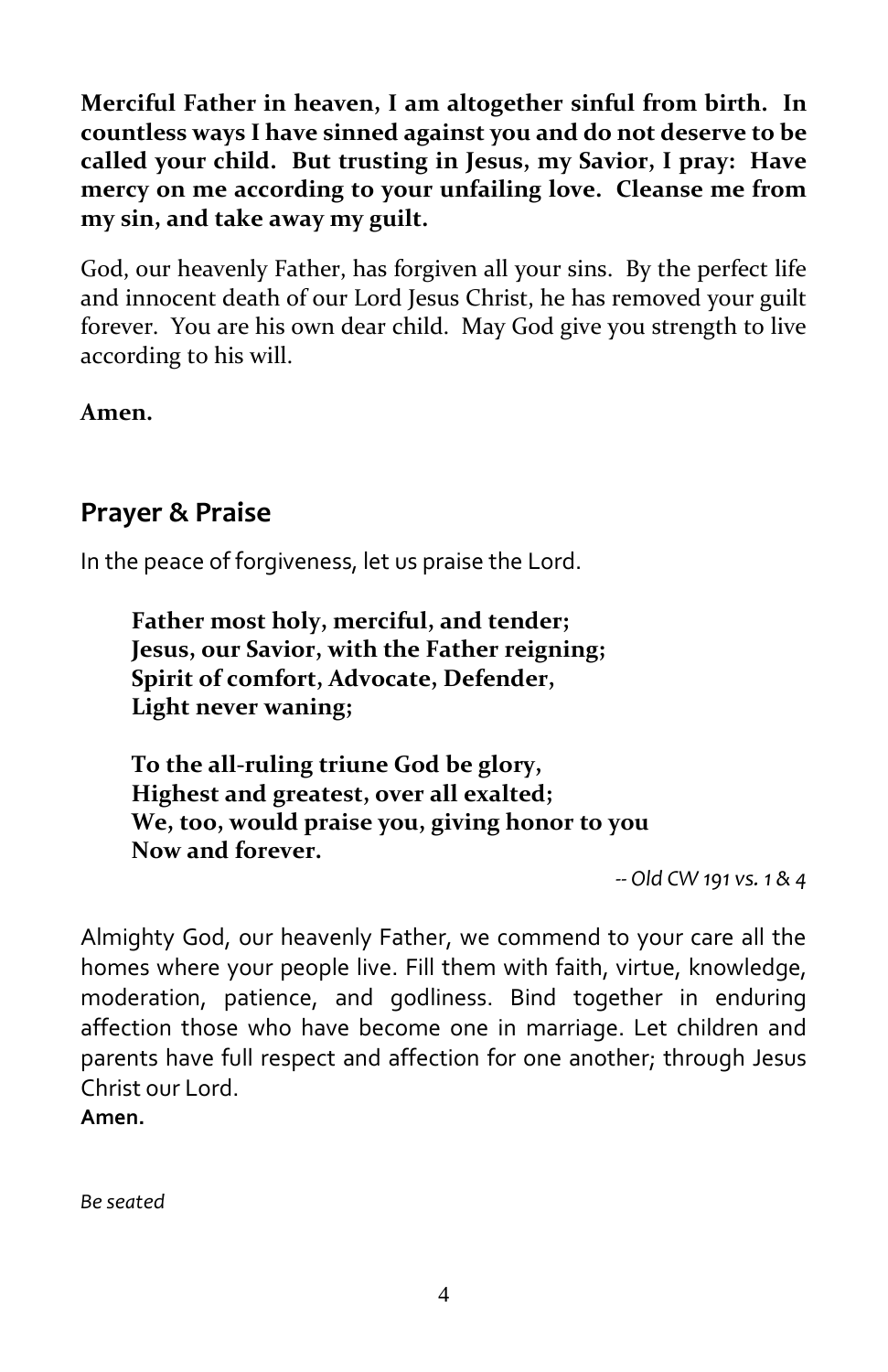**Merciful Father in heaven, I am altogether sinful from birth. In countless ways I have sinned against you and do not deserve to be called your child. But trusting in Jesus, my Savior, I pray: Have mercy on me according to your unfailing love. Cleanse me from my sin, and take away my guilt.**

God, our heavenly Father, has forgiven all your sins. By the perfect life and innocent death of our Lord Jesus Christ, he has removed your guilt forever. You are his own dear child. May God give you strength to live according to his will.

**Amen.** 

#### **Prayer & Praise**

In the peace of forgiveness, let us praise the Lord.

**Father most holy, merciful, and tender; Jesus, our Savior, with the Father reigning; Spirit of comfort, Advocate, Defender, Light never waning;**

**To the all-ruling triune God be glory, Highest and greatest, over all exalted; We, too, would praise you, giving honor to you Now and forever.**

*-- Old CW 191 vs. 1 & 4*

Almighty God, our heavenly Father, we commend to your care all the homes where your people live. Fill them with faith, virtue, knowledge, moderation, patience, and godliness. Bind together in enduring affection those who have become one in marriage. Let children and parents have full respect and affection for one another; through Jesus Christ our Lord.

**Amen.**

*Be seated*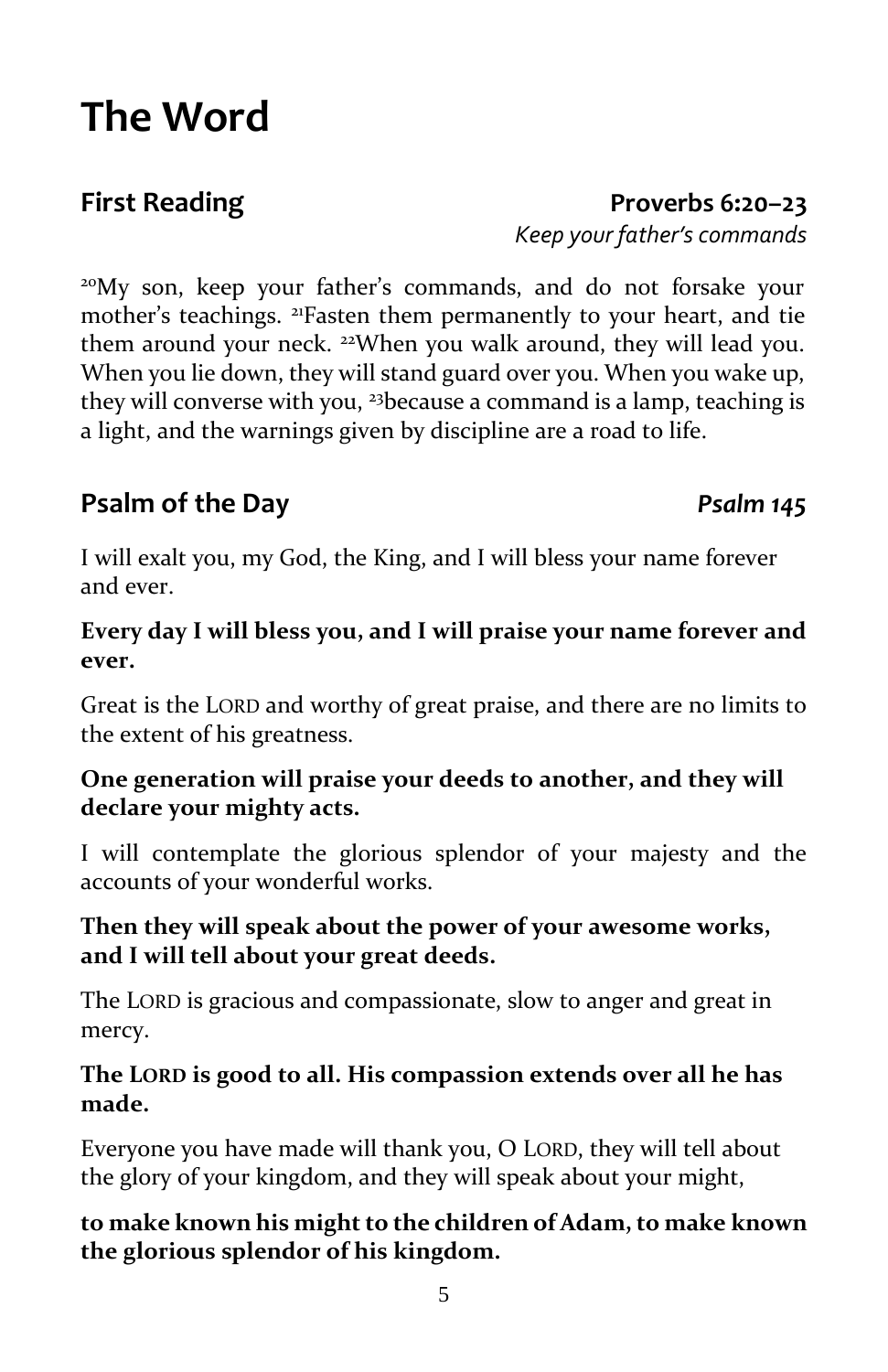## <sup>20</sup>My son, keep your father's commands, and do not forsake your

mother's teachings. <sup>21</sup>Fasten them permanently to your heart, and tie them around your neck. <sup>22</sup>When you walk around, they will lead you. When you lie down, they will stand guard over you. When you wake up, they will converse with you, <sup>23</sup>because a command is a lamp, teaching is a light, and the warnings given by discipline are a road to life.

**First Reading Proverbs 6:20–23**

#### **Psalm of the Day** *Psalm 145*

I will exalt you, my God, the King, and I will bless your name forever and ever.

#### **Every day I will bless you, and I will praise your name forever and ever.**

Great is the LORD and worthy of great praise, and there are no limits to the extent of his greatness.

#### **One generation will praise your deeds to another, and they will declare your mighty acts.**

I will contemplate the glorious splendor of your majesty and the accounts of your wonderful works.

#### **Then they will speak about the power of your awesome works, and I will tell about your great deeds.**

The LORD is gracious and compassionate, slow to anger and great in mercy.

#### **The LORD is good to all. His compassion extends over all he has made.**

Everyone you have made will thank you, O LORD, they will tell about the glory of your kingdom, and they will speak about your might,

#### **to make known his might to the children of Adam, to make known the glorious splendor of his kingdom.**

# **The Word**

*Keep your father's commands*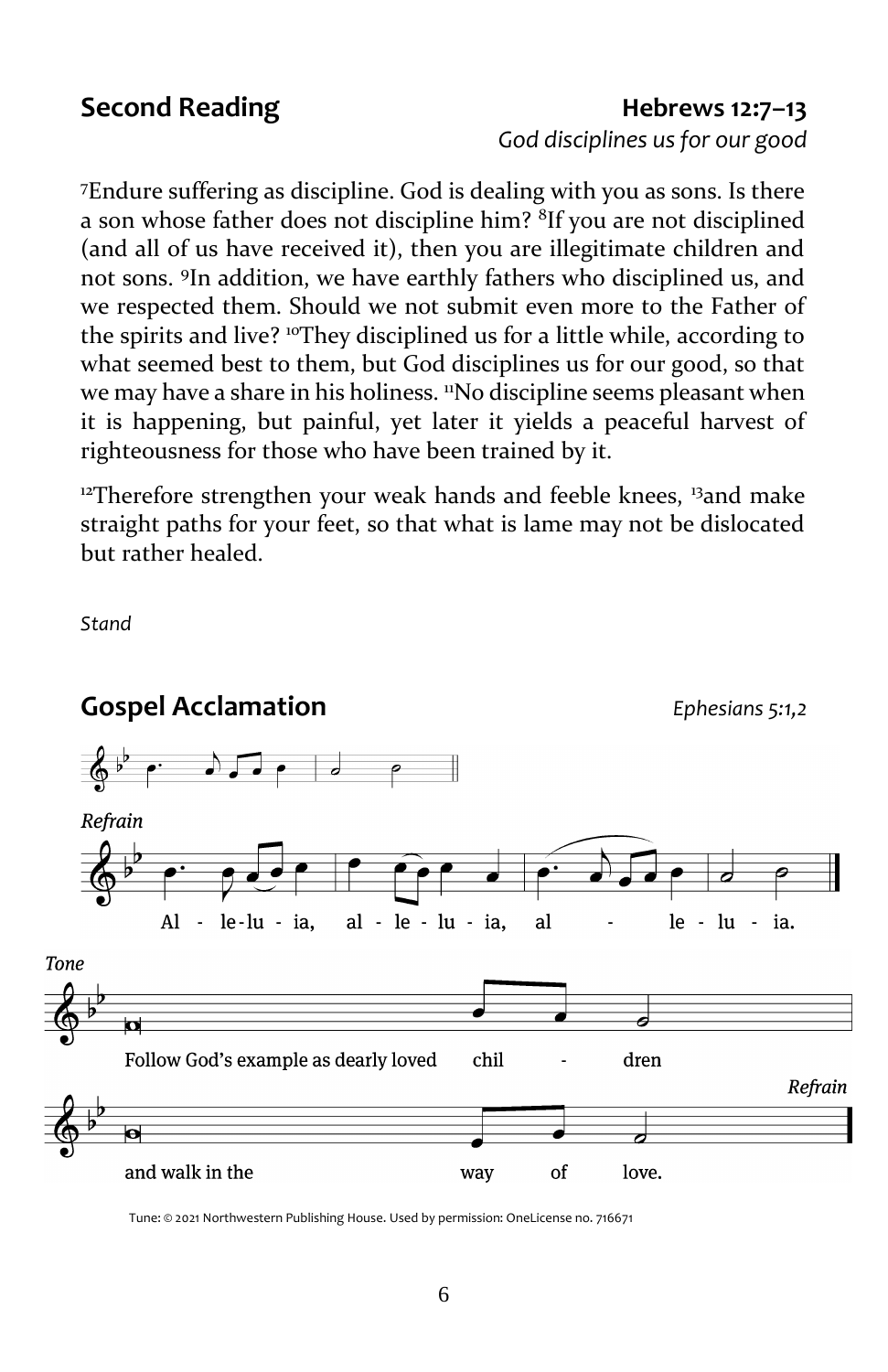#### **Second Reading Hebrews 12:7–13**

*God disciplines us for our good*

<sup>7</sup>Endure suffering as discipline. God is dealing with you as sons. Is there a son whose father does not discipline him? <sup>8</sup>If you are not disciplined (and all of us have received it), then you are illegitimate children and not sons. <sup>9</sup> In addition, we have earthly fathers who disciplined us, and we respected them. Should we not submit even more to the Father of the spirits and live? <sup>10</sup>They disciplined us for a little while, according to what seemed best to them, but God disciplines us for our good, so that we may have a share in his holiness. "No discipline seems pleasant when it is happening, but painful, yet later it yields a peaceful harvest of righteousness for those who have been trained by it.

<sup>12</sup>Therefore strengthen your weak hands and feeble knees,  $\frac{13}{2}$  and make straight paths for your feet, so that what is lame may not be dislocated but rather healed.

*Stand*



Tune: © 2021 Northwestern Publishing House. Used by permission: OneLicense no. 716671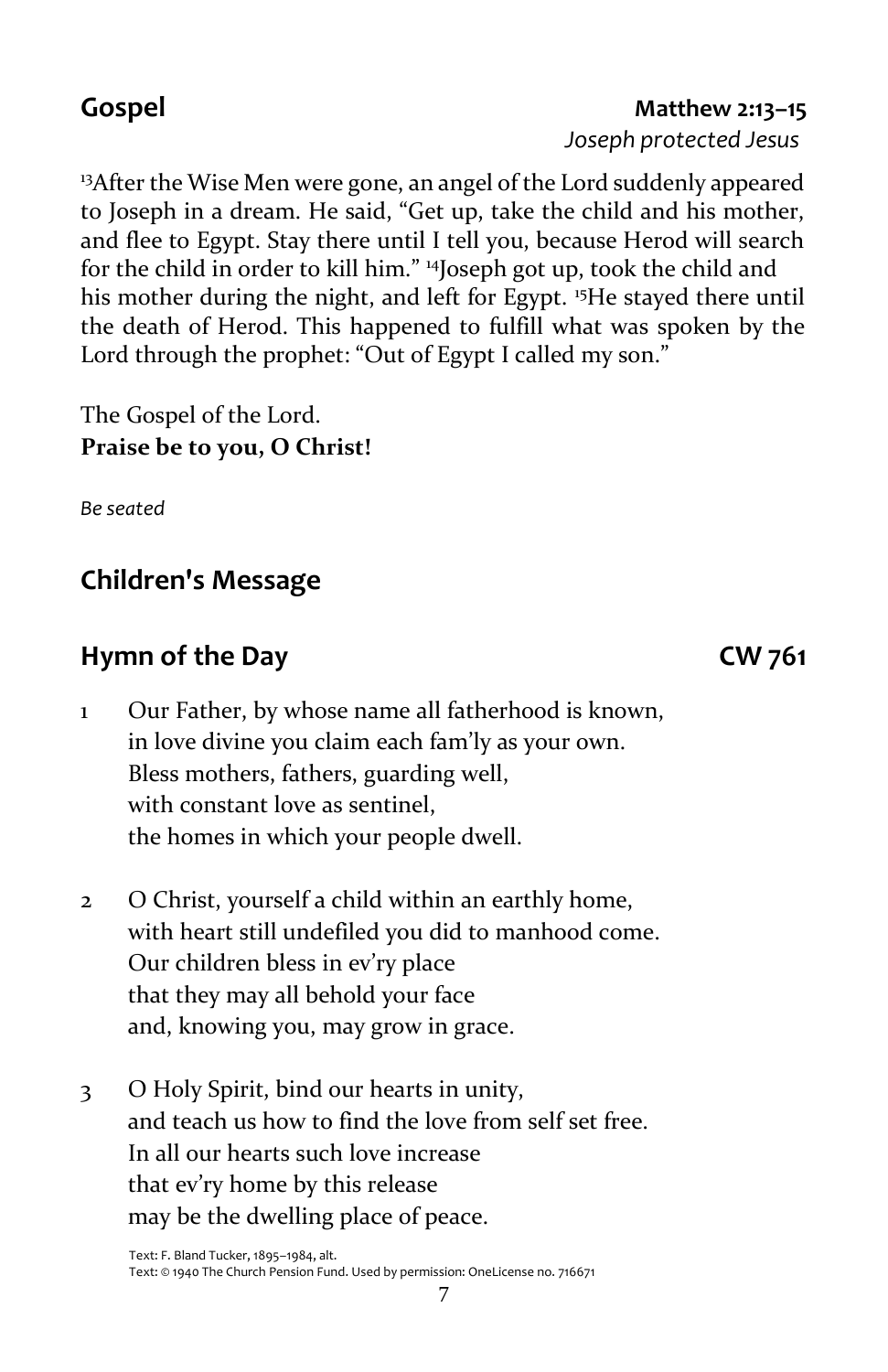#### 7

<sup>13</sup>After the Wise Men were gone, an angel of the Lord suddenly appeared to Joseph in a dream. He said, "Get up, take the child and his mother, and flee to Egypt. Stay there until I tell you, because Herod will search for the child in order to kill him." <sup>14</sup>Joseph got up, took the child and his mother during the night, and left for Egypt. <sup>15</sup>He stayed there until the death of Herod. This happened to fulfill what was spoken by the Lord through the prophet: "Out of Egypt I called my son."

The Gospel of the Lord. **Praise be to you, O Christ!**

*Be seated*

### **Children's Message**

#### **Hymn of the Day CW 761**

- 1 Our Father, by whose name all fatherhood is known, in love divine you claim each fam'ly as your own. Bless mothers, fathers, guarding well, with constant love as sentinel, the homes in which your people dwell.
- 2 O Christ, yourself a child within an earthly home, with heart still undefiled you did to manhood come. Our children bless in ev'ry place that they may all behold your face and, knowing you, may grow in grace.
- 3 O Holy Spirit, bind our hearts in unity, and teach us how to find the love from self set free. In all our hearts such love increase that ev'ry home by this release may be the dwelling place of peace.

#### **Gospel Matthew 2:13–15**

*Joseph protected Jesus*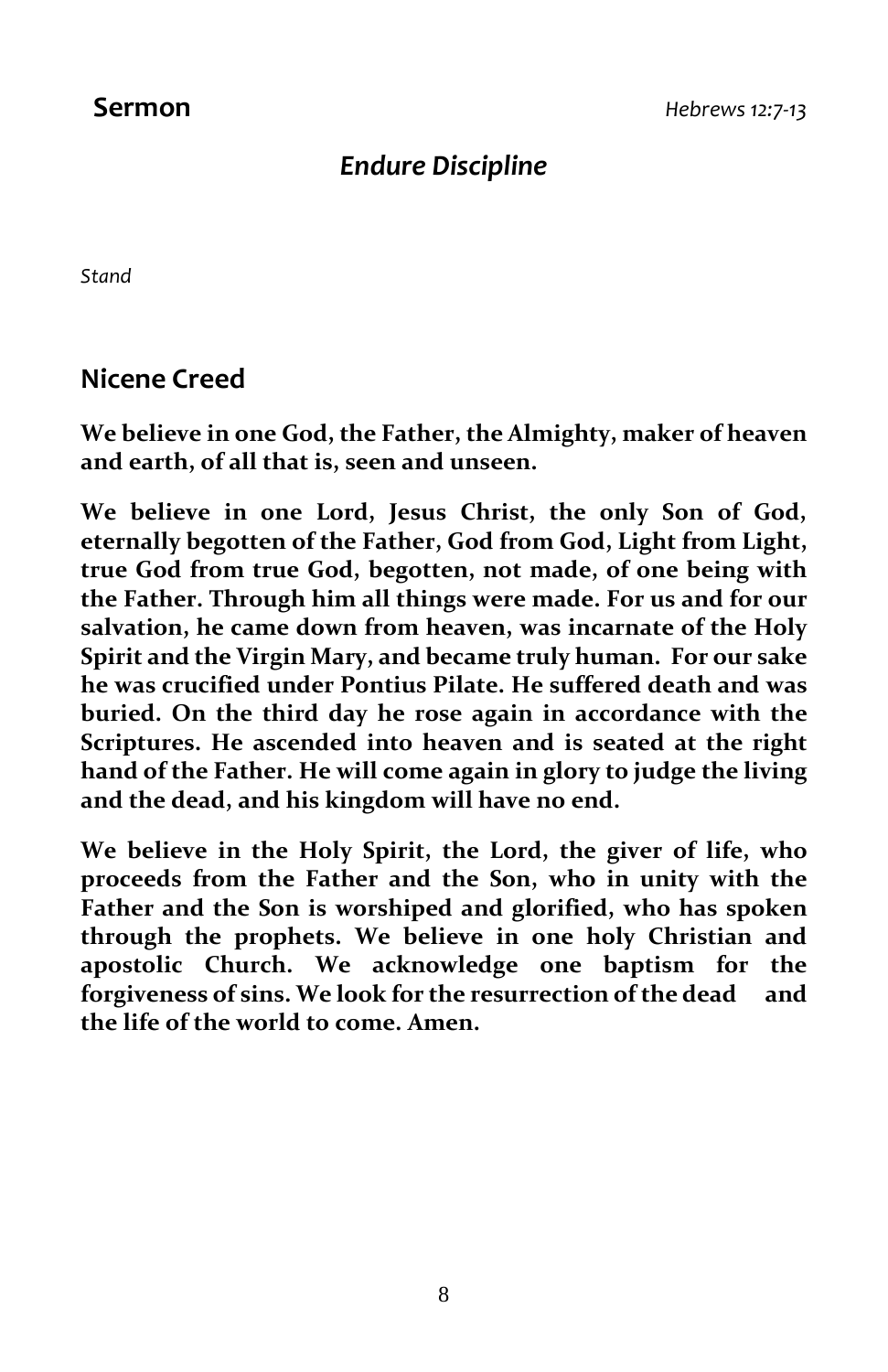### *Endure Discipline*

*Stand*

**Nicene Creed**

**We believe in one God, the Father, the Almighty, maker of heaven and earth, of all that is, seen and unseen.**

**We believe in one Lord, Jesus Christ, the only Son of God, eternally begotten of the Father, God from God, Light from Light, true God from true God, begotten, not made, of one being with the Father. Through him all things were made. For us and for our salvation, he came down from heaven, was incarnate of the Holy Spirit and the Virgin Mary, and became truly human. For our sake he was crucified under Pontius Pilate. He suffered death and was buried. On the third day he rose again in accordance with the Scriptures. He ascended into heaven and is seated at the right hand of the Father. He will come again in glory to judge the living and the dead, and his kingdom will have no end.**

**We believe in the Holy Spirit, the Lord, the giver of life, who proceeds from the Father and the Son, who in unity with the Father and the Son is worshiped and glorified, who has spoken through the prophets. We believe in one holy Christian and apostolic Church. We acknowledge one baptism for the forgiveness of sins. We look for the resurrection of the dead and the life of the world to come. Amen.**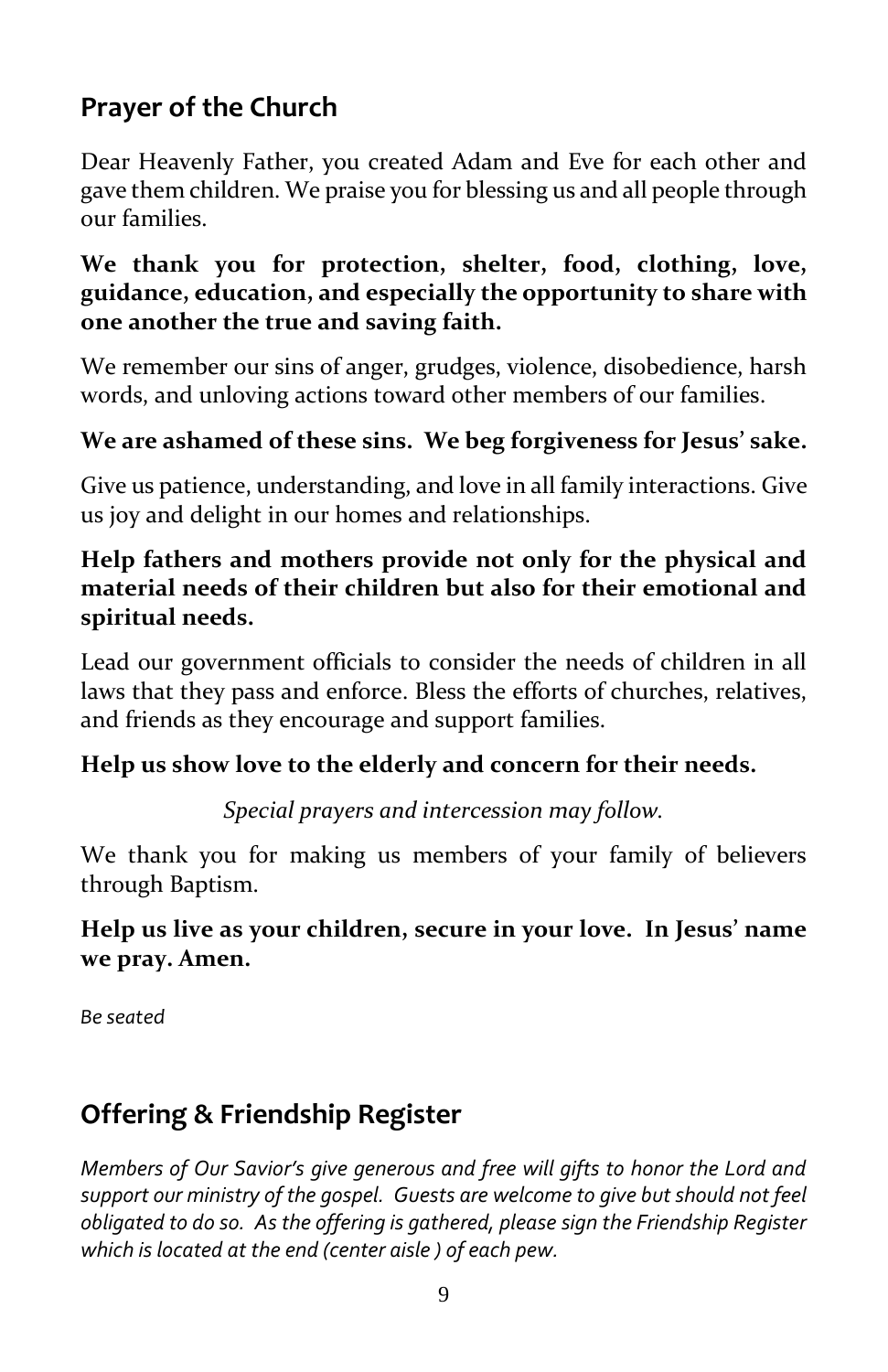### **Prayer of the Church**

Dear Heavenly Father, you created Adam and Eve for each other and gave them children. We praise you for blessing us and all people through our families.

#### **We thank you for protection, shelter, food, clothing, love, guidance, education, and especially the opportunity to share with one another the true and saving faith.**

We remember our sins of anger, grudges, violence, disobedience, harsh words, and unloving actions toward other members of our families.

#### **We are ashamed of these sins. We beg forgiveness for Jesus' sake.**

Give us patience, understanding, and love in all family interactions. Give us joy and delight in our homes and relationships.

#### **Help fathers and mothers provide not only for the physical and material needs of their children but also for their emotional and spiritual needs.**

Lead our government officials to consider the needs of children in all laws that they pass and enforce. Bless the efforts of churches, relatives, and friends as they encourage and support families.

#### **Help us show love to the elderly and concern for their needs.**

*Special prayers and intercession may follow.*

We thank you for making us members of your family of believers through Baptism.

#### **Help us live as your children, secure in your love. In Jesus' name we pray. Amen.**

*Be seated*

### **Offering & Friendship Register**

*Members of Our Savior's give generous and free will gifts to honor the Lord and support our ministry of the gospel. Guests are welcome to give but should not feel obligated to do so. As the offering is gathered, please sign the Friendship Register which is located at the end (center aisle ) of each pew.*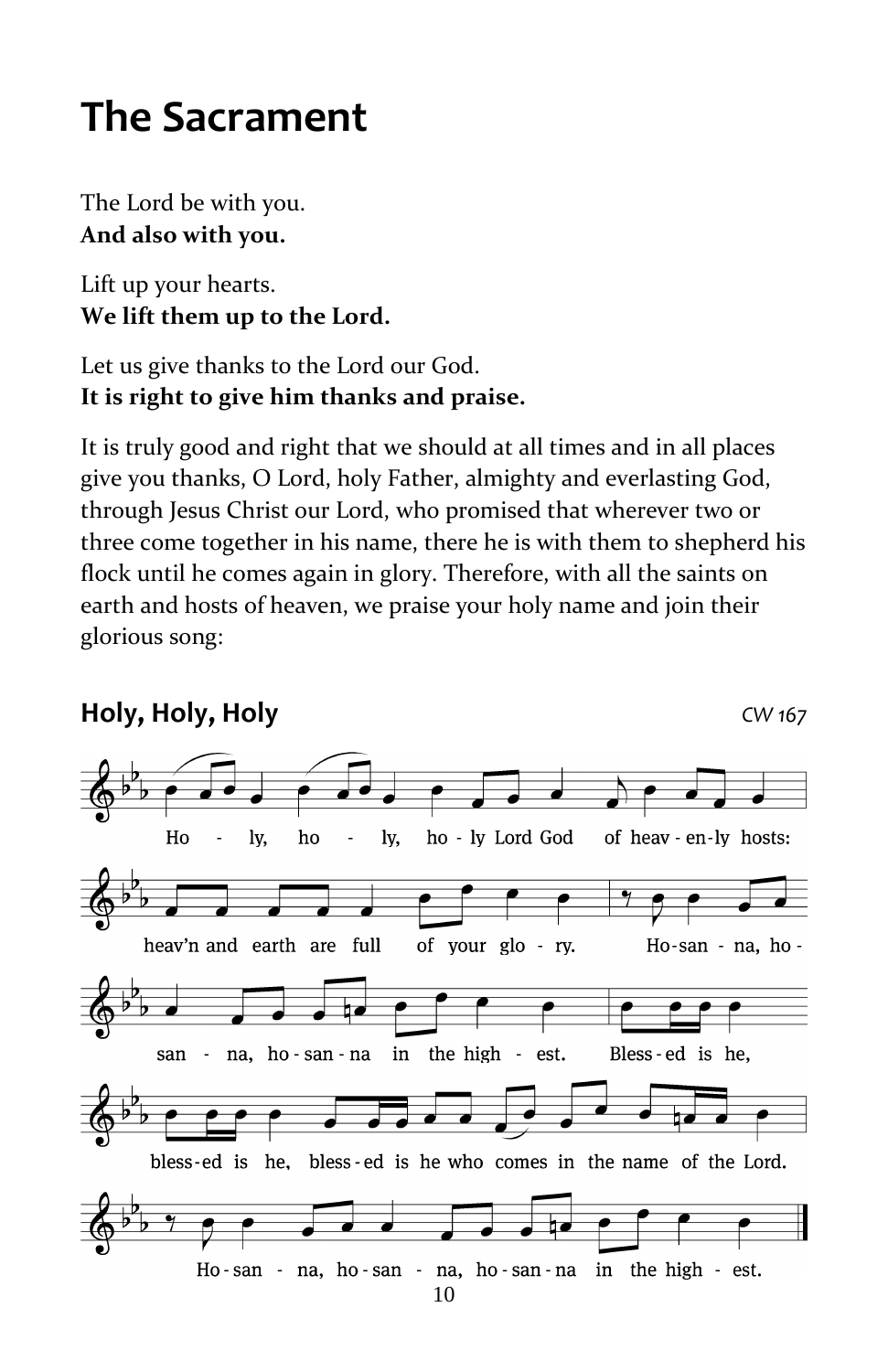# **The Sacrament**

The Lord be with you. **And also with you.**

Lift up your hearts. **We lift them up to the Lord.**

#### Let us give thanks to the Lord our God. **It is right to give him thanks and praise.**

It is truly good and right that we should at all times and in all places give you thanks, O Lord, holy Father, almighty and everlasting God, through Jesus Christ our Lord, who promised that wherever two or three come together in his name, there he is with them to shepherd his flock until he comes again in glory. Therefore, with all the saints on earth and hosts of heaven, we praise your holy name and join their glorious song:

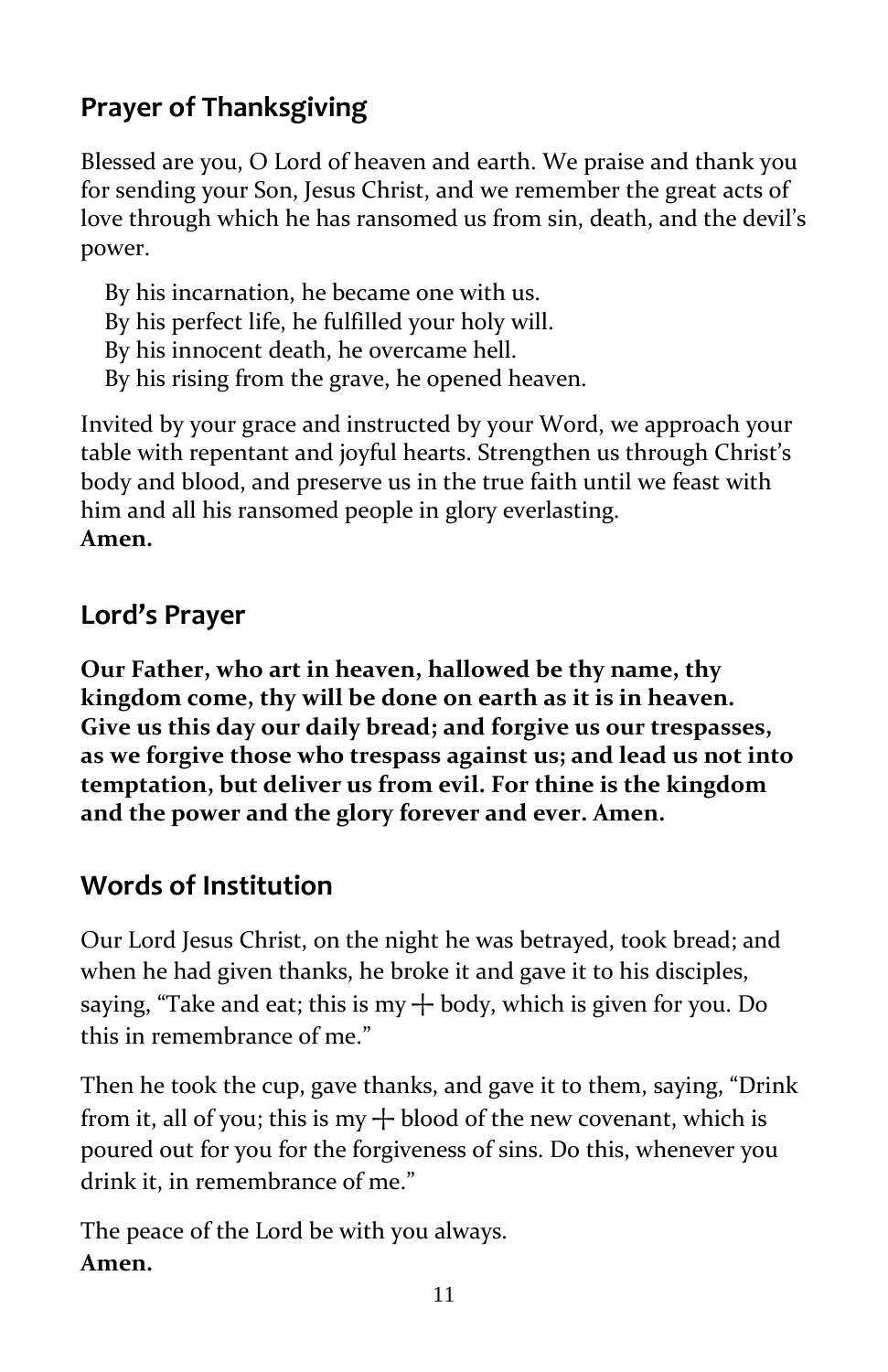### **Prayer of Thanksgiving**

Blessed are you, O Lord of heaven and earth. We praise and thank you for sending your Son, Jesus Christ, and we remember the great acts of love through which he has ransomed us from sin, death, and the devil's power.

 By his incarnation, he became one with us. By his perfect life, he fulfilled your holy will. By his innocent death, he overcame hell. By his rising from the grave, he opened heaven.

Invited by your grace and instructed by your Word, we approach your table with repentant and joyful hearts. Strengthen us through Christ's body and blood, and preserve us in the true faith until we feast with him and all his ransomed people in glory everlasting. **Amen.**

#### **Lord's Prayer**

**Our Father, who art in heaven, hallowed be thy name, thy kingdom come, thy will be done on earth as it is in heaven. Give us this day our daily bread; and forgive us our trespasses, as we forgive those who trespass against us; and lead us not into temptation, but deliver us from evil. For thine is the kingdom and the power and the glory forever and ever. Amen.**

#### **Words of Institution**

Our Lord Jesus Christ, on the night he was betrayed, took bread; and when he had given thanks, he broke it and gave it to his disciples, saying, "Take and eat; this is my  $+$  body, which is given for you. Do this in remembrance of me."

Then he took the cup, gave thanks, and gave it to them, saying, "Drink from it, all of you; this is my  $+$  blood of the new covenant, which is poured out for you for the forgiveness of sins. Do this, whenever you drink it, in remembrance of me."

The peace of the Lord be with you always. **Amen.**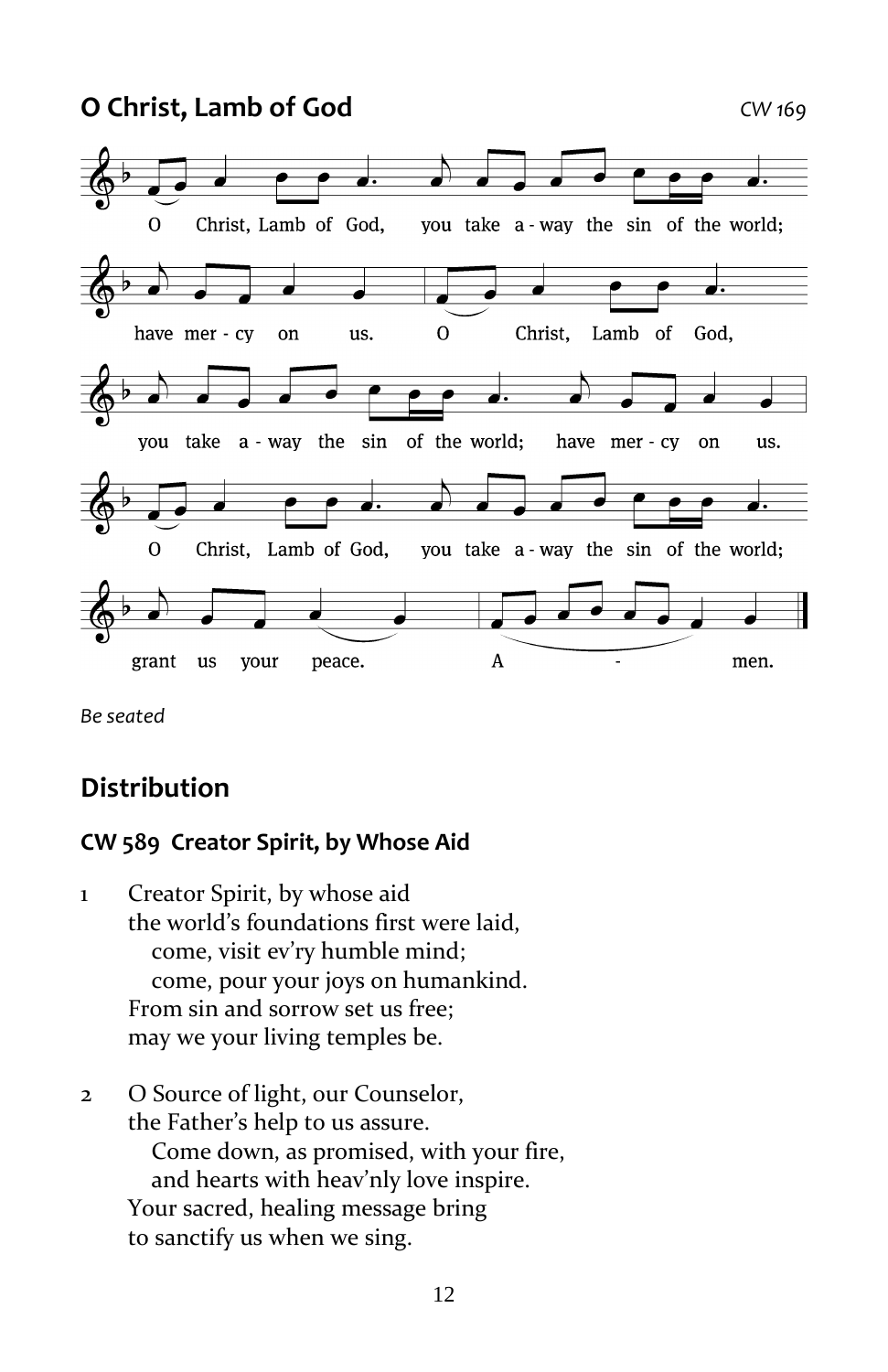**O Christ, Lamb of God** *CW 169*



*Be seated*

#### **Distribution**

#### **CW 589 Creator Spirit, by Whose Aid**

- 1 Creator Spirit, by whose aid the world's foundations first were laid, come, visit ev'ry humble mind; come, pour your joys on humankind. From sin and sorrow set us free; may we your living temples be.
- 2 O Source of light, our Counselor, the Father's help to us assure. Come down, as promised, with your fire, and hearts with heav'nly love inspire. Your sacred, healing message bring to sanctify us when we sing.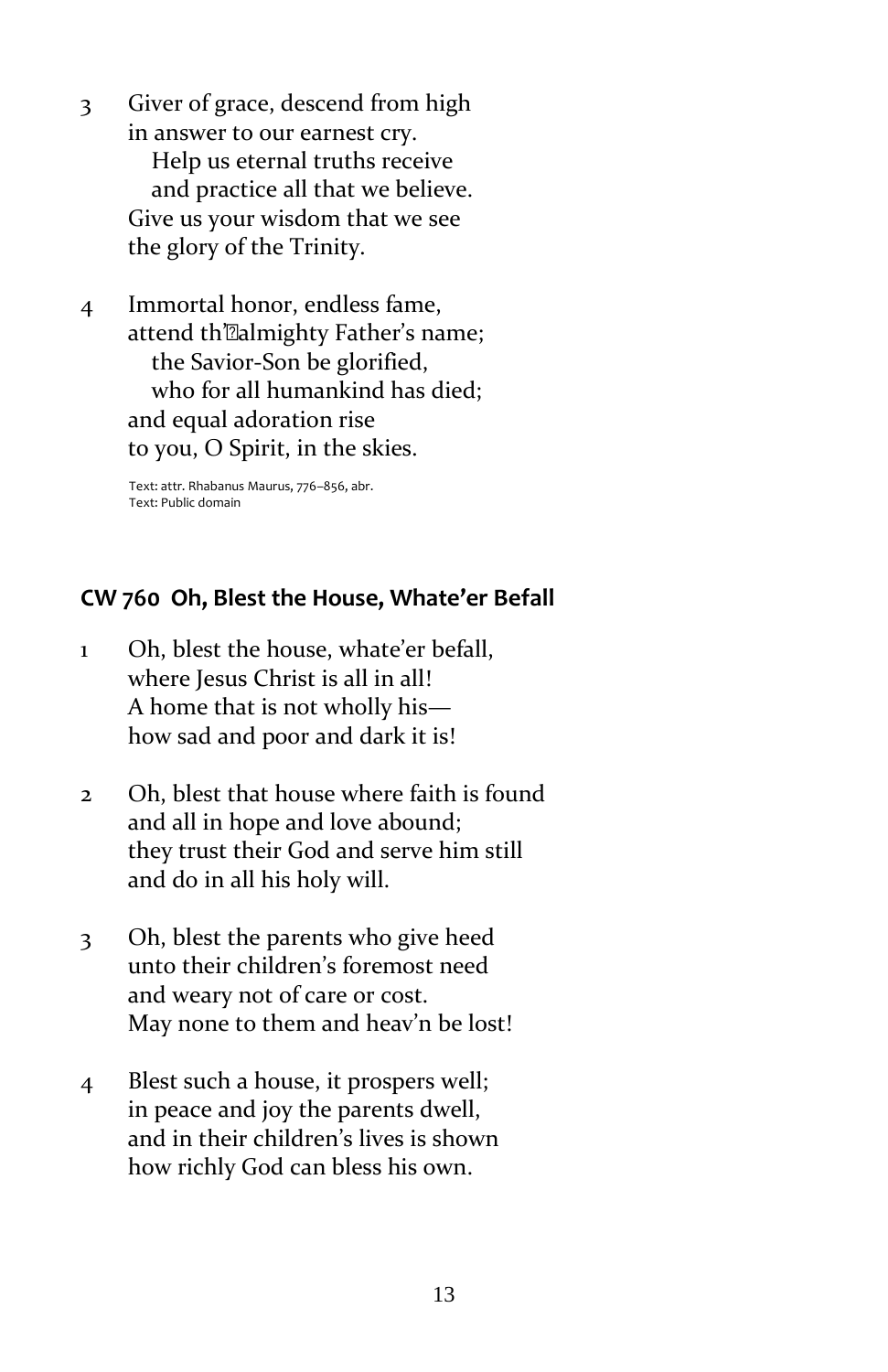- 3 Giver of grace, descend from high in answer to our earnest cry. Help us eternal truths receive and practice all that we believe. Give us your wisdom that we see the glory of the Trinity.
- 4 Immortal honor, endless fame, attend th'@almighty Father's name; the Savior-Son be glorified, who for all humankind has died; and equal adoration rise to you, O Spirit, in the skies.

Text: attr. Rhabanus Maurus, 776–856, abr. Text: Public domain

#### **CW 760 Oh, Blest the House, Whate'er Befall**

- 1 Oh, blest the house, whate'er befall, where Jesus Christ is all in all! A home that is not wholly his how sad and poor and dark it is!
- 2 Oh, blest that house where faith is found and all in hope and love abound; they trust their God and serve him still and do in all his holy will.
- 3 Oh, blest the parents who give heed unto their children's foremost need and weary not of care or cost. May none to them and heav'n be lost!
- 4 Blest such a house, it prospers well; in peace and joy the parents dwell, and in their children's lives is shown how richly God can bless his own.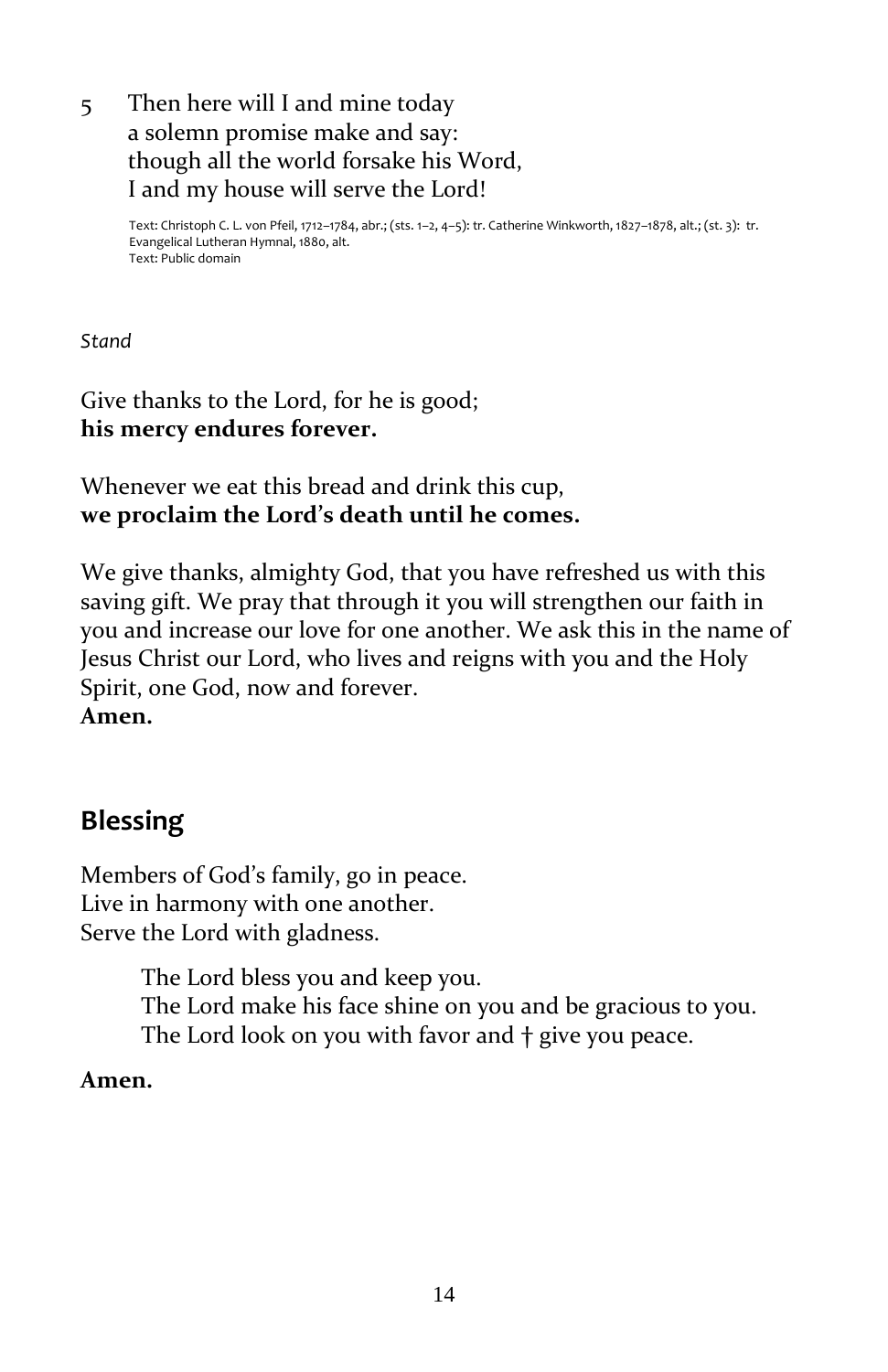#### 5 Then here will I and mine today a solemn promise make and say: though all the world forsake his Word, I and my house will serve the Lord!

Text: Christoph C. L. von Pfeil, 1712–1784, abr.; (sts. 1–2, 4–5): tr. Catherine Winkworth, 1827–1878, alt.; (st. 3): tr. Evangelical Lutheran Hymnal, 1880, alt. Text: Public domain

*Stand*

#### Give thanks to the Lord, for he is good; **his mercy endures forever.**

Whenever we eat this bread and drink this cup, **we proclaim the Lord's death until he comes.**

We give thanks, almighty God, that you have refreshed us with this saving gift. We pray that through it you will strengthen our faith in you and increase our love for one another. We ask this in the name of Jesus Christ our Lord, who lives and reigns with you and the Holy Spirit, one God, now and forever. **Amen.**

### **Blessing**

Members of God's family, go in peace. Live in harmony with one another. Serve the Lord with gladness.

> The Lord bless you and keep you. The Lord make his face shine on you and be gracious to you. The Lord look on you with favor and **†** give you peace.

#### **Amen.**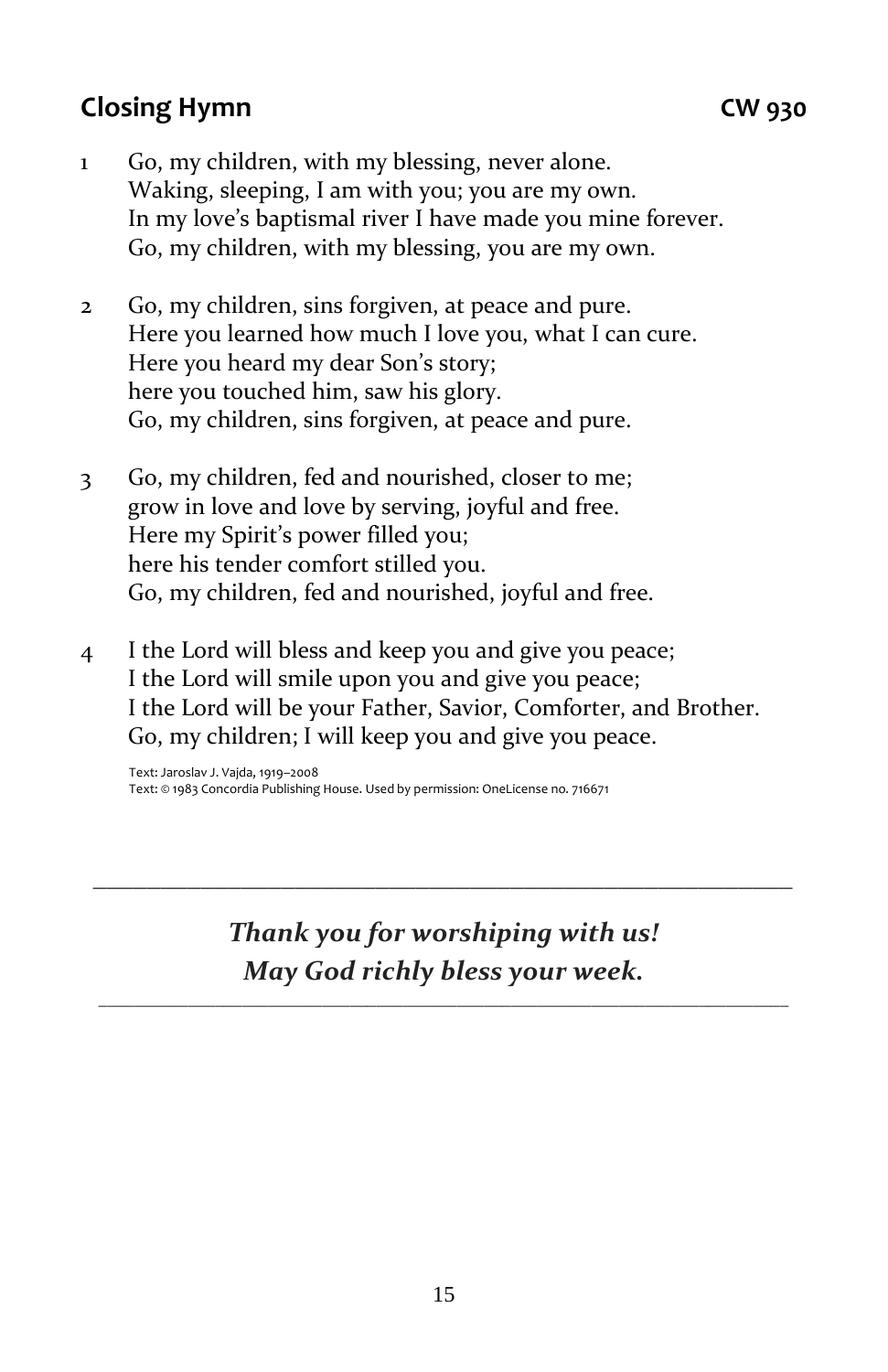#### **Closing Hymn CW 930**

- 1 Go, my children, with my blessing, never alone. Waking, sleeping, I am with you; you are my own. In my love's baptismal river I have made you mine forever. Go, my children, with my blessing, you are my own.
- 2 Go, my children, sins forgiven, at peace and pure. Here you learned how much I love you, what I can cure. Here you heard my dear Son's story; here you touched him, saw his glory. Go, my children, sins forgiven, at peace and pure.
- 3 Go, my children, fed and nourished, closer to me; grow in love and love by serving, joyful and free. Here my Spirit's power filled you; here his tender comfort stilled you. Go, my children, fed and nourished, joyful and free.
- 4 I the Lord will bless and keep you and give you peace; I the Lord will smile upon you and give you peace; I the Lord will be your Father, Savior, Comforter, and Brother. Go, my children; I will keep you and give you peace.

Text: Jaroslav J. Vajda, 1919–2008 Text: © 1983 Concordia Publishing House. Used by permission: OneLicense no. 716671

> *Thank you for worshiping with us! May God richly bless your week.*

\_\_\_\_\_\_\_\_\_\_\_\_\_\_\_\_\_\_\_\_\_\_\_\_\_\_\_\_\_\_\_\_\_\_\_\_\_\_\_\_\_\_\_\_\_\_\_\_\_\_\_\_\_\_\_\_\_\_\_\_\_\_\_\_\_\_\_\_\_\_\_\_\_\_\_\_\_

*\_\_\_\_\_\_\_\_\_\_\_\_\_\_\_\_\_\_\_\_\_\_\_\_\_\_\_\_\_\_\_\_\_\_\_\_\_\_\_\_\_\_\_\_\_\_\_\_\_\_\_\_*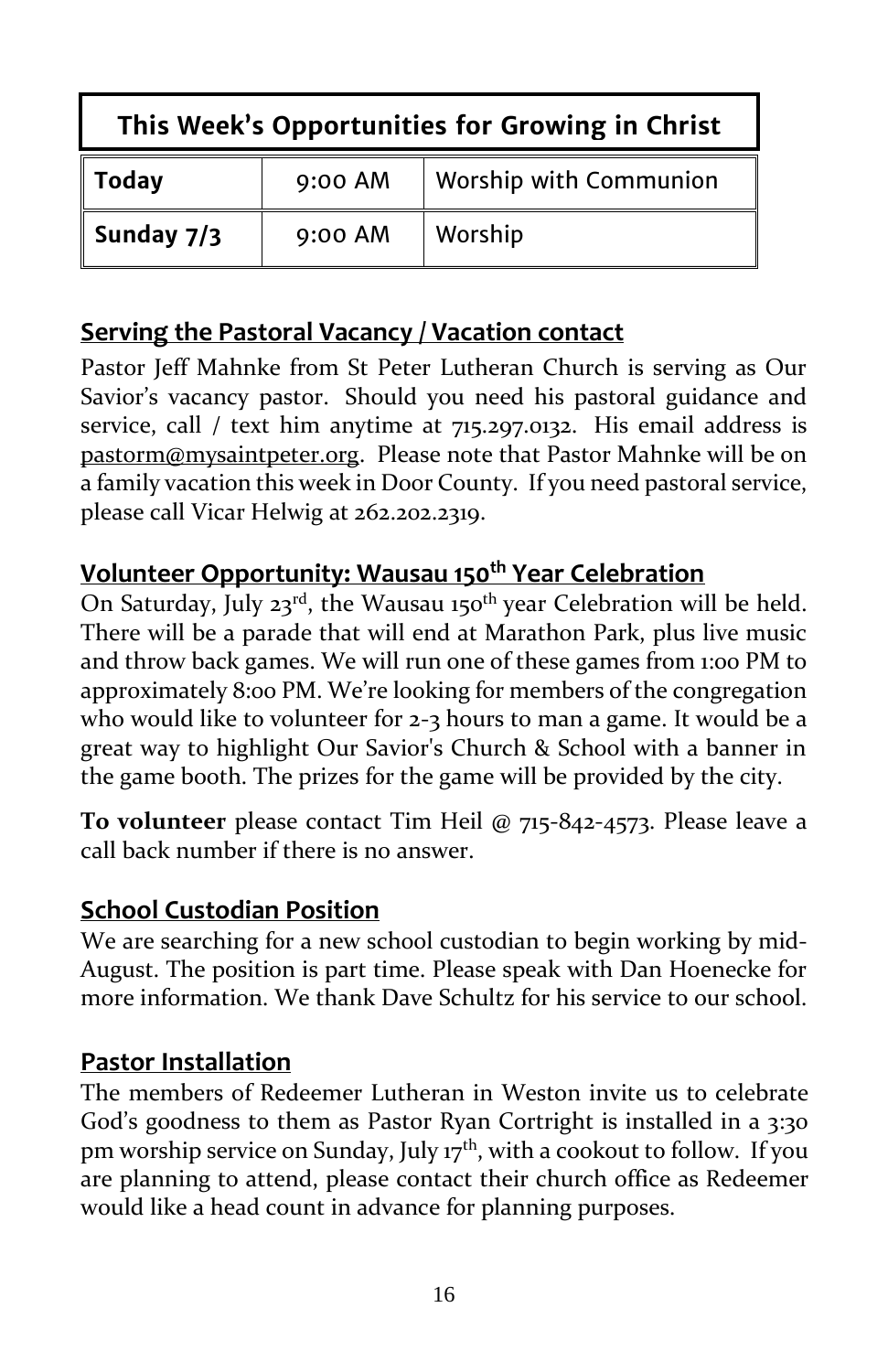| This Week's Opportunities for Growing in Christ |         |                        |  |  |  |
|-------------------------------------------------|---------|------------------------|--|--|--|
| <b>Today</b>                                    | 9:00 AM | Worship with Communion |  |  |  |
| Sunday 7/3                                      | 9:00 AM | Worship                |  |  |  |

#### **Serving the Pastoral Vacancy / Vacation contact**

Pastor Jeff Mahnke from St Peter Lutheran Church is serving as Our Savior's vacancy pastor. Should you need his pastoral guidance and service, call / text him anytime at 715.297.0132. His email address is [pastorm@mysaintpeter.org.](mailto:pastorm@mysaintpeter.org) Please note that Pastor Mahnke will be on a family vacation this week in Door County. If you need pastoral service, please call Vicar Helwig at 262.202.2319.

#### **Volunteer Opportunity: Wausau 150th Year Celebration**

On Saturday, July 23<sup>rd</sup>, the Wausau 150<sup>th</sup> year Celebration will be held. There will be a parade that will end at Marathon Park, plus live music and throw back games. We will run one of these games from 1:00 PM to approximately 8:00 PM. We're looking for members of the congregation who would like to volunteer for 2-3 hours to man a game. It would be a great way to highlight Our Savior's Church & School with a banner in the game booth. The prizes for the game will be provided by the city.

**To volunteer** please contact Tim Heil @ 715-842-4573. Please leave a call back number if there is no answer.

#### **School Custodian Position**

We are searching for a new school custodian to begin working by mid-August. The position is part time. Please speak with Dan Hoenecke for more information. We thank Dave Schultz for his service to our school.

#### **Pastor Installation**

The members of Redeemer Lutheran in Weston invite us to celebrate God's goodness to them as Pastor Ryan Cortright is installed in a 3:30 pm worship service on Sunday, July 17<sup>th</sup>, with a cookout to follow. If you are planning to attend, please contact their church office as Redeemer would like a head count in advance for planning purposes.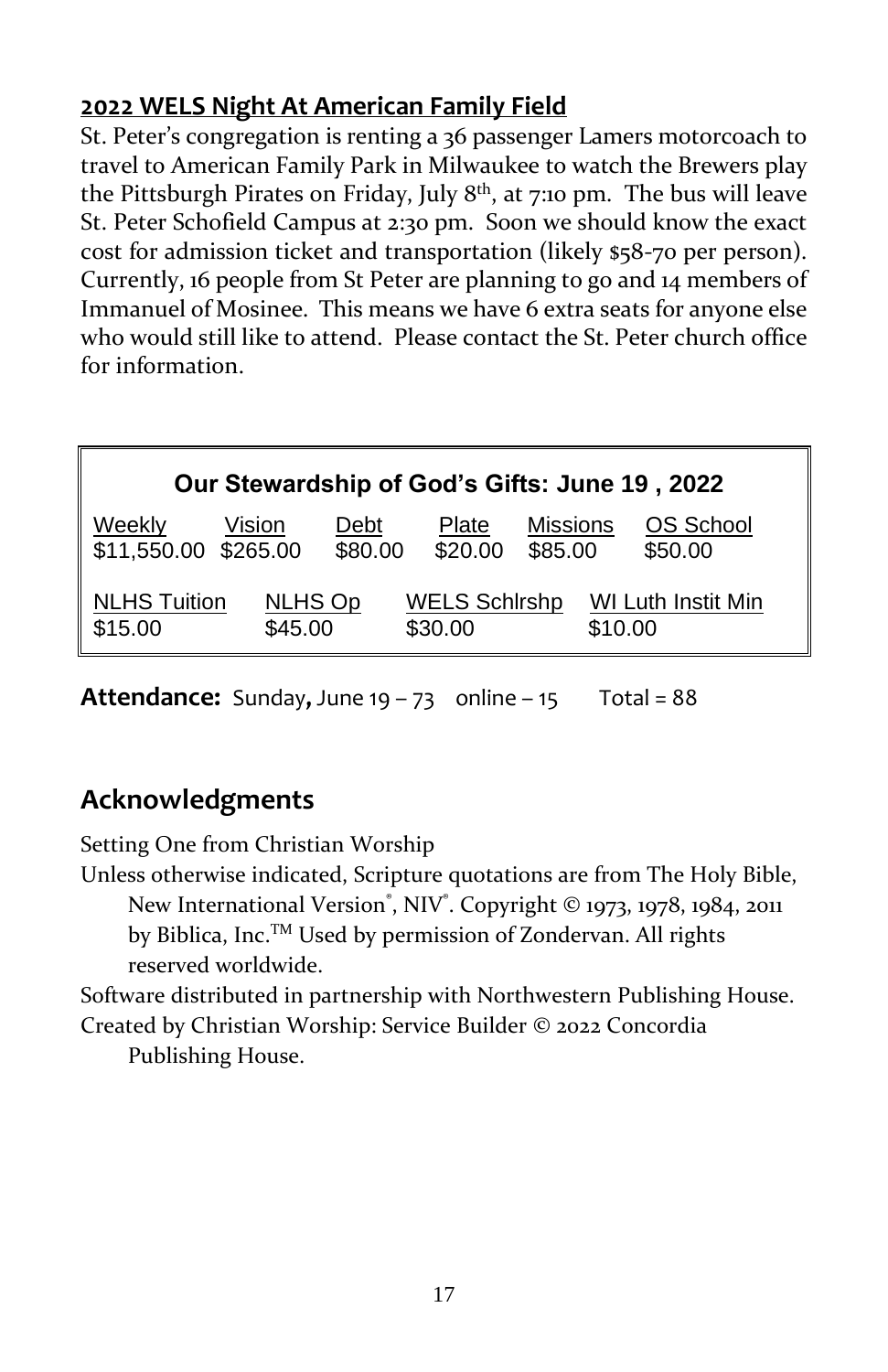#### **2022 WELS Night At American Family Field**

St. Peter's congregation is renting a 36 passenger Lamers motorcoach to travel to American Family Park in Milwaukee to watch the Brewers play the Pittsburgh Pirates on Friday, July 8<sup>th</sup>, at 7:10 pm. The bus will leave St. Peter Schofield Campus at 2:30 pm. Soon we should know the exact cost for admission ticket and transportation (likely \$58-70 per person). Currently, 16 people from St Peter are planning to go and 14 members of Immanuel of Mosinee. This means we have 6 extra seats for anyone else who would still like to attend. Please contact the St. Peter church office for information.

| Our Stewardship of God's Gifts: June 19, 2022 |                           |                 |                                 |                            |                               |  |
|-----------------------------------------------|---------------------------|-----------------|---------------------------------|----------------------------|-------------------------------|--|
| Weekly<br>\$11,550.00 \$265.00                | Vision                    | Debt<br>\$80.00 | Plate<br>\$20.00                | <b>Missions</b><br>\$85.00 | OS School<br>\$50.00          |  |
| <b>NLHS Tuition</b><br>\$15.00                | <b>NLHS Op</b><br>\$45.00 |                 | <b>WELS Schirshp</b><br>\$30.00 |                            | WI Luth Instit Min<br>\$10.00 |  |

**Attendance:** Sunday, June  $19 - 73$  online  $-15$  Total = 88

### **Acknowledgments**

Setting One from Christian Worship

Unless otherwise indicated, Scripture quotations are from The Holy Bible, New International Version®, NIV®. Copyright © 1973, 1978, 1984, 2011 by Biblica, Inc.TM Used by permission of Zondervan. All rights reserved worldwide.

Software distributed in partnership with Northwestern Publishing House. Created by Christian Worship: Service Builder © 2022 Concordia

Publishing House.